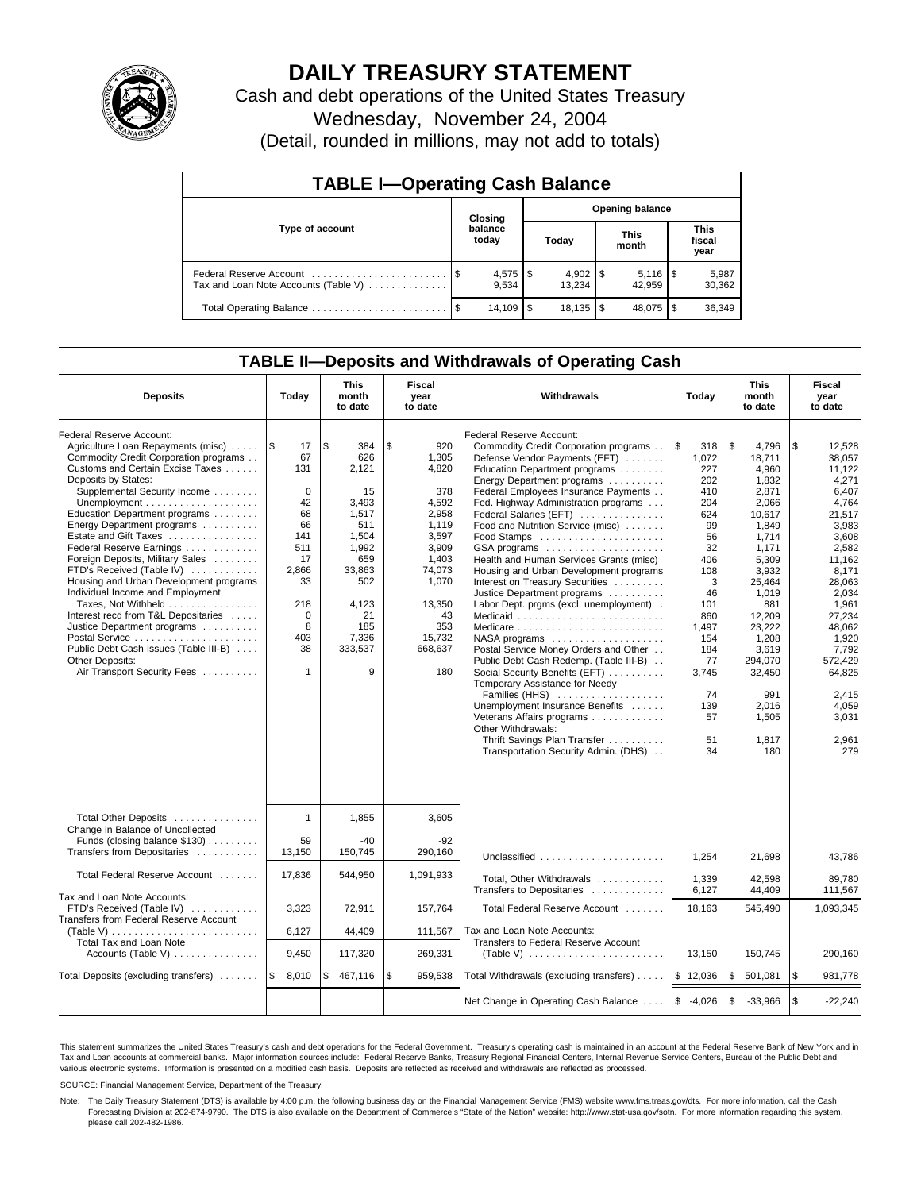

# **DAILY TREASURY STATEMENT**

Cash and debt operations of the United States Treasury Wednesday, November 24, 2004

(Detail, rounded in millions, may not add to totals)

| <b>TABLE I-Operating Cash Balance</b> |  |                      |                        |              |  |                         |  |                               |  |
|---------------------------------------|--|----------------------|------------------------|--------------|--|-------------------------|--|-------------------------------|--|
| Type of account                       |  | Closing              | <b>Opening balance</b> |              |  |                         |  |                               |  |
|                                       |  | balance<br>today     |                        | Today        |  | <b>This</b><br>month    |  | <b>This</b><br>fiscal<br>year |  |
| Tax and Loan Note Accounts (Table V)  |  | $4,575$ \\$<br>9.534 |                        | 13.234       |  | $5,116$ \ $$$<br>42.959 |  | 5,987<br>30,362               |  |
|                                       |  | 14,109               | l \$                   | $18,135$ \\$ |  | 48.075                  |  | 36,349                        |  |

### **TABLE II—Deposits and Withdrawals of Operating Cash**

| <b>Deposits</b>                                                                                                                                                                                                                                                                                                                                                                                                                                                                                                                                                                                                                                               | Today                                                                                                                                                     | <b>This</b><br>month<br>to date                                                                                                                     | Fiscal<br>year<br>to date                                                                                                                                      | <b>Withdrawals</b>                                                                                                                                                                                                                                                                                                                                                                                                                                                                                                                                                                                                                                                                                                                                                                                                                                                                    | Today                                                                                                                                                                                 | <b>This</b><br>month<br>to date                                                                                                                                                                                                                |                                                                                                                                                                                                                                                       |
|---------------------------------------------------------------------------------------------------------------------------------------------------------------------------------------------------------------------------------------------------------------------------------------------------------------------------------------------------------------------------------------------------------------------------------------------------------------------------------------------------------------------------------------------------------------------------------------------------------------------------------------------------------------|-----------------------------------------------------------------------------------------------------------------------------------------------------------|-----------------------------------------------------------------------------------------------------------------------------------------------------|----------------------------------------------------------------------------------------------------------------------------------------------------------------|---------------------------------------------------------------------------------------------------------------------------------------------------------------------------------------------------------------------------------------------------------------------------------------------------------------------------------------------------------------------------------------------------------------------------------------------------------------------------------------------------------------------------------------------------------------------------------------------------------------------------------------------------------------------------------------------------------------------------------------------------------------------------------------------------------------------------------------------------------------------------------------|---------------------------------------------------------------------------------------------------------------------------------------------------------------------------------------|------------------------------------------------------------------------------------------------------------------------------------------------------------------------------------------------------------------------------------------------|-------------------------------------------------------------------------------------------------------------------------------------------------------------------------------------------------------------------------------------------------------|
| Federal Reserve Account:<br>Agriculture Loan Repayments (misc)<br>Commodity Credit Corporation programs<br>Customs and Certain Excise Taxes<br>Deposits by States:<br>Supplemental Security Income<br>Education Department programs<br>Energy Department programs<br>Estate and Gift Taxes<br>Federal Reserve Earnings<br>Foreign Deposits, Military Sales<br>FTD's Received (Table IV)<br>Housing and Urban Development programs<br>Individual Income and Employment<br>Taxes, Not Withheld<br>Interest recd from T&L Depositaries<br>Justice Department programs<br>Public Debt Cash Issues (Table III-B)<br>Other Deposits:<br>Air Transport Security Fees | $\sqrt{3}$<br>17<br>67<br>131<br>$\mathbf 0$<br>42<br>68<br>66<br>141<br>511<br>17<br>2,866<br>33<br>218<br>$\mathbf 0$<br>8<br>403<br>38<br>$\mathbf{1}$ | l \$<br>384<br>626<br>2.121<br>15<br>3.493<br>1,517<br>511<br>1.504<br>1,992<br>659<br>33,863<br>502<br>4,123<br>21<br>185<br>7,336<br>333,537<br>9 | \$<br>920<br>1,305<br>4,820<br>378<br>4,592<br>2,958<br>1,119<br>3.597<br>3,909<br>1,403<br>74,073<br>1,070<br>13,350<br>43<br>353<br>15,732<br>668,637<br>180 | Federal Reserve Account:<br>Commodity Credit Corporation programs<br>Defense Vendor Payments (EFT)<br>Education Department programs<br>Energy Department programs<br>Federal Employees Insurance Payments<br>Fed. Highway Administration programs<br>Federal Salaries (EFT)<br>Food and Nutrition Service (misc)<br>GSA programs<br>Health and Human Services Grants (misc)<br>Housing and Urban Development programs<br>Interest on Treasury Securities<br>Justice Department programs<br>Labor Dept. prgms (excl. unemployment).<br>Medicare<br>Postal Service Money Orders and Other<br>Public Debt Cash Redemp. (Table III-B)<br>Social Security Benefits (EFT)<br>Temporary Assistance for Needy<br>Families (HHS)<br>Unemployment Insurance Benefits<br>Veterans Affairs programs<br>Other Withdrawals:<br>Thrift Savings Plan Transfer<br>Transportation Security Admin. (DHS) | l \$<br>318<br>1,072<br>227<br>202<br>410<br>204<br>624<br>99<br>56<br>32<br>406<br>108<br>3<br>46<br>101<br>860<br>1,497<br>154<br>184<br>77<br>3,745<br>74<br>139<br>57<br>51<br>34 | \$<br>4,796<br>18.711<br>4.960<br>1,832<br>2,871<br>2,066<br>10,617<br>1,849<br>1.714<br>1,171<br>5,309<br>3,932<br>25,464<br>1,019<br>881<br>12,209<br>23,222<br>1,208<br>3.619<br>294,070<br>32,450<br>991<br>2.016<br>1,505<br>1,817<br>180 | \$<br>12,528<br>38.057<br>11.122<br>4,271<br>6.407<br>4.764<br>21,517<br>3,983<br>3.608<br>2,582<br>11,162<br>8.171<br>28,063<br>2,034<br>1,961<br>27.234<br>48.062<br>1,920<br>7.792<br>572,429<br>64,825<br>2.415<br>4,059<br>3,031<br>2,961<br>279 |
| Total Other Deposits<br>Change in Balance of Uncollected<br>Funds (closing balance \$130)<br>Transfers from Depositaries                                                                                                                                                                                                                                                                                                                                                                                                                                                                                                                                      | $\mathbf{1}$<br>59<br>13.150                                                                                                                              | 1,855<br>$-40$<br>150,745                                                                                                                           | 3,605<br>$-92$<br>290.160                                                                                                                                      | Unclassified                                                                                                                                                                                                                                                                                                                                                                                                                                                                                                                                                                                                                                                                                                                                                                                                                                                                          | 1,254                                                                                                                                                                                 | 21,698                                                                                                                                                                                                                                         | 43,786                                                                                                                                                                                                                                                |
| Total Federal Reserve Account                                                                                                                                                                                                                                                                                                                                                                                                                                                                                                                                                                                                                                 | 17,836                                                                                                                                                    | 544,950                                                                                                                                             | 1,091,933                                                                                                                                                      | Total, Other Withdrawals<br>Transfers to Depositaries                                                                                                                                                                                                                                                                                                                                                                                                                                                                                                                                                                                                                                                                                                                                                                                                                                 | 1,339<br>6,127                                                                                                                                                                        | 42,598<br>44,409                                                                                                                                                                                                                               | 89,780<br>111,567                                                                                                                                                                                                                                     |
| Tax and Loan Note Accounts:<br>FTD's Received (Table IV)<br>Transfers from Federal Reserve Account<br>(Table V)                                                                                                                                                                                                                                                                                                                                                                                                                                                                                                                                               | 3,323<br>6,127                                                                                                                                            | 72,911<br>44,409                                                                                                                                    | 157,764<br>111,567                                                                                                                                             | Total Federal Reserve Account<br>Tax and Loan Note Accounts:                                                                                                                                                                                                                                                                                                                                                                                                                                                                                                                                                                                                                                                                                                                                                                                                                          | 18,163                                                                                                                                                                                | 545,490                                                                                                                                                                                                                                        | 1,093,345                                                                                                                                                                                                                                             |
| <b>Total Tax and Loan Note</b><br>Accounts (Table V) $\dots \dots \dots \dots$                                                                                                                                                                                                                                                                                                                                                                                                                                                                                                                                                                                | 9,450                                                                                                                                                     | 117,320                                                                                                                                             | 269,331                                                                                                                                                        | Transfers to Federal Reserve Account                                                                                                                                                                                                                                                                                                                                                                                                                                                                                                                                                                                                                                                                                                                                                                                                                                                  | 13,150                                                                                                                                                                                | 150,745                                                                                                                                                                                                                                        | 290,160                                                                                                                                                                                                                                               |
| Total Deposits (excluding transfers)                                                                                                                                                                                                                                                                                                                                                                                                                                                                                                                                                                                                                          | ۱\$<br>8,010                                                                                                                                              | 467,116<br>\$                                                                                                                                       | \$<br>959,538                                                                                                                                                  | Total Withdrawals (excluding transfers)                                                                                                                                                                                                                                                                                                                                                                                                                                                                                                                                                                                                                                                                                                                                                                                                                                               | \$12,036                                                                                                                                                                              | \$<br>501,081                                                                                                                                                                                                                                  | l \$<br>981,778                                                                                                                                                                                                                                       |
|                                                                                                                                                                                                                                                                                                                                                                                                                                                                                                                                                                                                                                                               |                                                                                                                                                           |                                                                                                                                                     |                                                                                                                                                                | Net Change in Operating Cash Balance                                                                                                                                                                                                                                                                                                                                                                                                                                                                                                                                                                                                                                                                                                                                                                                                                                                  | $$ -4,026$                                                                                                                                                                            | \$<br>$-33,966$                                                                                                                                                                                                                                | \$<br>$-22,240$                                                                                                                                                                                                                                       |

This statement summarizes the United States Treasury's cash and debt operations for the Federal Government. Treasury's operating cash is maintained in an account at the Federal Reserve Bank of New York and in Tax and Loan accounts at commercial banks. Major information sources include: Federal Reserve Banks, Treasury Regional Financial Centers, Internal Revenue Service Centers, Bureau of the Public Debt and<br>various electronic s

SOURCE: Financial Management Service, Department of the Treasury.

Note: The Daily Treasury Statement (DTS) is available by 4:00 p.m. the following business day on the Financial Management Service (FMS) website www.fms.treas.gov/dts. For more information, call the Cash Forecasting Division at 202-874-9790. The DTS is also available on the Department of Commerce's "State of the Nation" website: http://www.stat-usa.gov/sotn. For more information regarding this system, please call 202-482-1986.